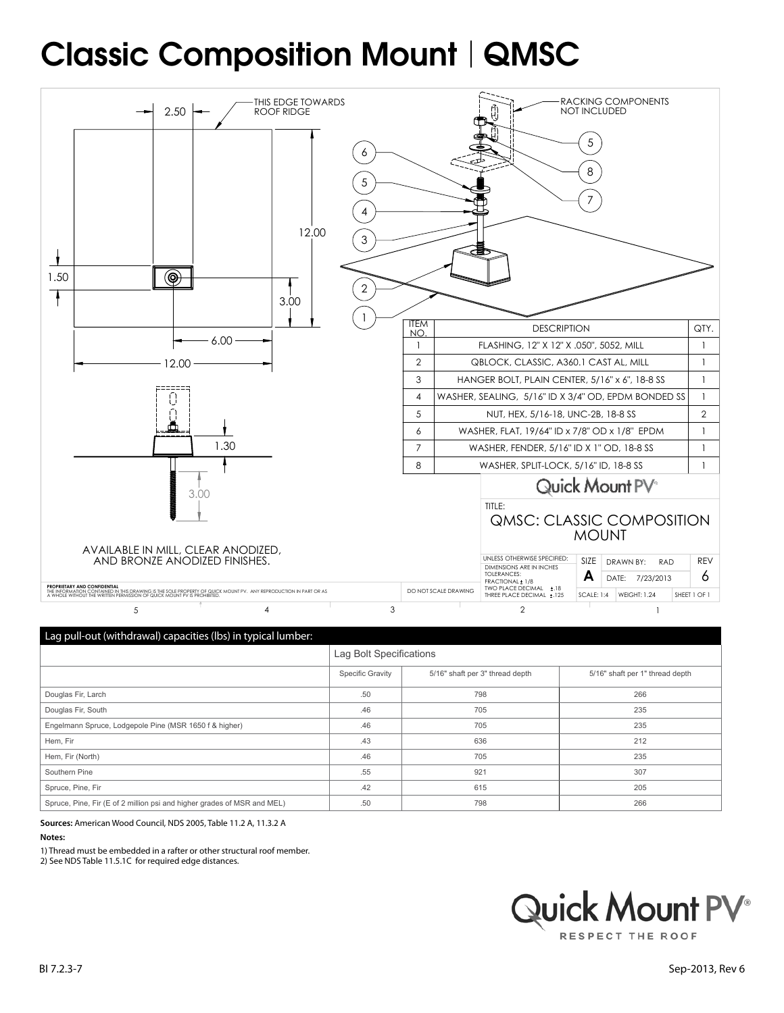# Classic Composition Mount | QMSC



|  | Lay pair out (merciamary capacities (iss) in cypical railiber: |                         |          |  |  |
|--|----------------------------------------------------------------|-------------------------|----------|--|--|
|  |                                                                | Lag Bolt Specifications |          |  |  |
|  |                                                                | <b>Specific Gravity</b> | 5/16" sh |  |  |

|                                                                         | Specific Gravity | 5/16" shaft per 3" thread depth | 5/16" shaft per 1" thread depth |
|-------------------------------------------------------------------------|------------------|---------------------------------|---------------------------------|
| Douglas Fir, Larch                                                      | .50              | 798                             | 266                             |
| Douglas Fir, South                                                      | .46              | 705                             | 235                             |
| Engelmann Spruce, Lodgepole Pine (MSR 1650 f & higher)                  | .46              | 705                             | 235                             |
| Hem, Fir                                                                | .43              | 636                             | 212                             |
| Hem, Fir (North)                                                        | .46              | 705                             | 235                             |
| Southern Pine                                                           | .55              | 921                             | 307                             |
| Spruce, Pine, Fir                                                       | .42              | 615                             | 205                             |
| Spruce, Pine, Fir (E of 2 million psi and higher grades of MSR and MEL) | .50              | 798                             | 266                             |

**Sources:** American Wood Council, NDS 2005, Table 11.2 A, 11.3.2 A

#### **Notes:**

1) Thread must be embedded in a rafter or other structural roof member.

2) See NDS Table 11.5.1C for required edge distances.

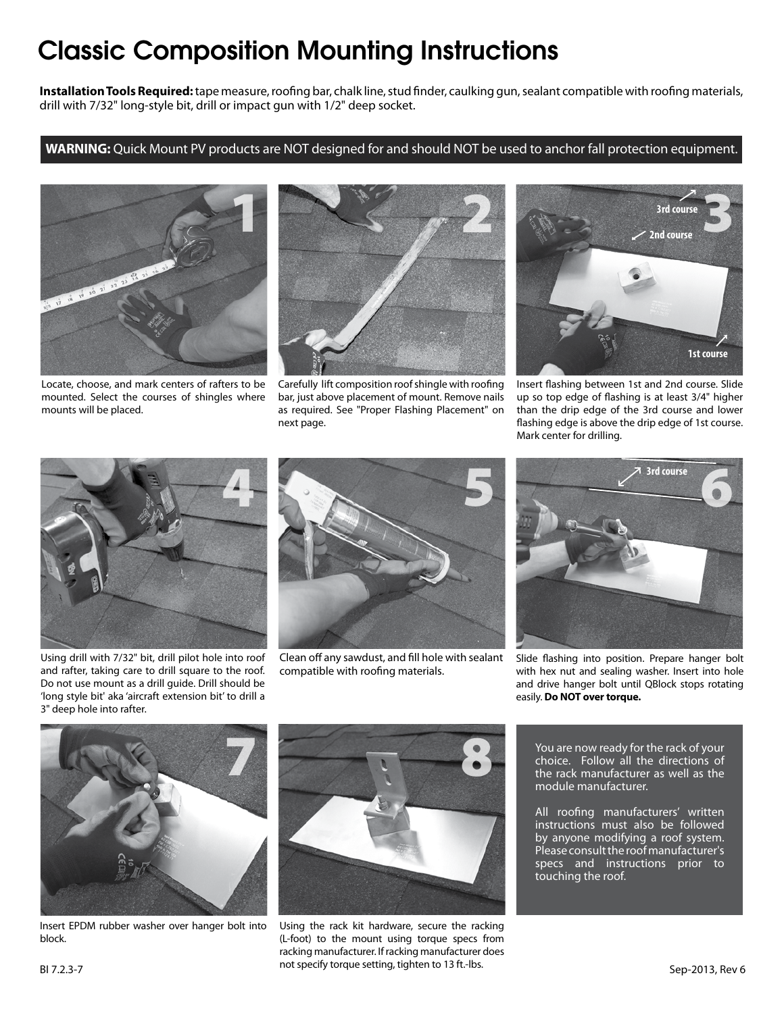## Classic Composition Mounting Instructions

**Installation Tools Required:** tape measure, roofing bar, chalk line, stud finder, caulking gun, sealant compatible with roofing materials, drill with 7/32" long-style bit, drill or impact gun with 1/2" deep socket.

#### **WARNING:** Quick Mount PV products are NOT designed for and should NOT be used to anchor fall protection equipment.



Locate, choose, and mark centers of rafters to be mounted. Select the courses of shingles where mounts will be placed.



Carefully lift composition roof shingle with roofing bar, just above placement of mount. Remove nails as required. See "Proper Flashing Placement" on next page.



Insert flashing between 1st and 2nd course. Slide up so top edge of flashing is at least 3/4" higher than the drip edge of the 3rd course and lower flashing edge is above the drip edge of 1st course. Mark center for drilling.



Using drill with 7/32" bit, drill pilot hole into roof and rafter, taking care to drill square to the roof. Do not use mount as a drill guide. Drill should be 'long style bit' aka 'aircraft extension bit' to drill a 3" deep hole into rafter.



Clean off any sawdust, and fill hole with sealant compatible with roofing materials.



Slide flashing into position. Prepare hanger bolt with hex nut and sealing washer. Insert into hole and drive hanger bolt until QBlock stops rotating easily. **Do NOT over torque.**



Insert EPDM rubber washer over hanger bolt into block.



Using the rack kit hardware, secure the racking (L-foot) to the mount using torque specs from racking manufacturer. If racking manufacturer does not specify torque setting, tighten to 13 ft.-lbs. BI 7.2.3-7

You are now ready for the rack of your choice. Follow all the directions of the rack manufacturer as well as the module manufacturer.

All roofing manufacturers' written instructions must also be followed by anyone modifying a roof system. Please consult the roof manufacturer's specs and instructions prior to touching the roof.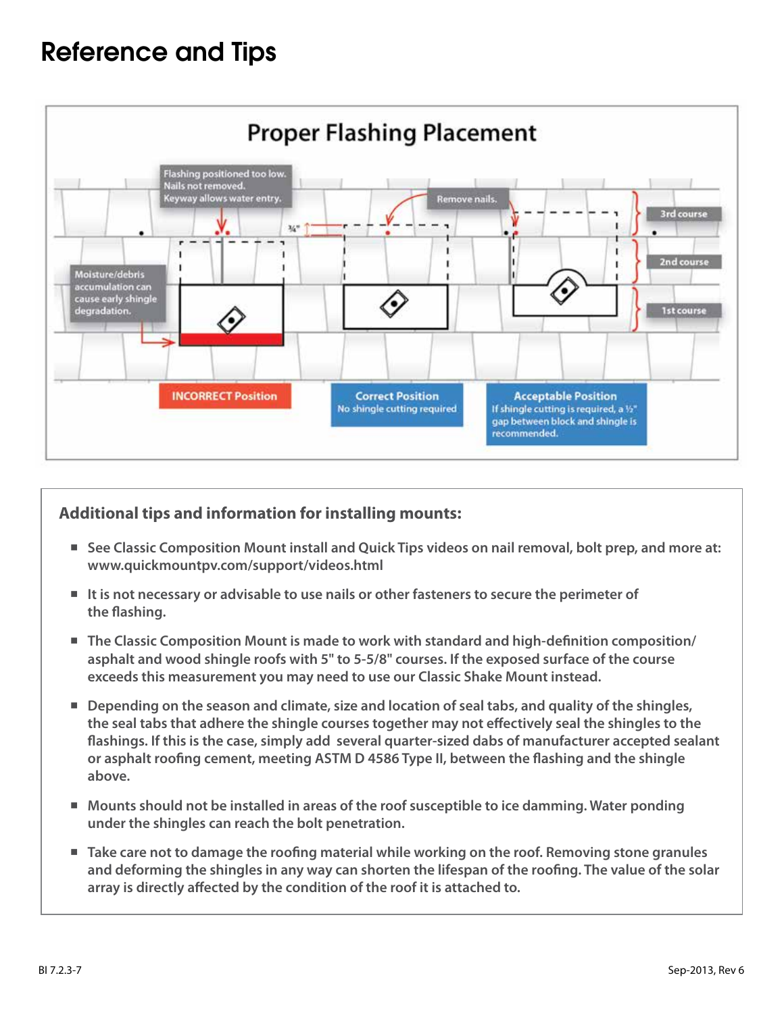### Reference and Tips



### **Additional tips and information for installing mounts:**

- See Classic Composition Mount install and Quick Tips videos on nail removal, bolt prep, and more at: **www.quickmountpv.com/support/videos.html**
- It is not necessary or advisable to use nails or other fasteners to secure the perimeter of **the flashing.**
- The Classic Composition Mount is made to work with standard and high-definition composition/ **asphalt and wood shingle roofs with 5" to 5-5/8" courses. If the exposed surface of the course exceeds this measurement you may need to use our Classic Shake Mount instead.**
- Depending on the season and climate, size and location of seal tabs, and quality of the shingles, **the seal tabs that adhere the shingle courses together may not effectively seal the shingles to the flashings. If this is the case, simply add several quarter-sized dabs of manufacturer accepted sealant or asphalt roofing cement, meeting ASTM D 4586 Type II, between the flashing and the shingle above.**
- Mounts should not be installed in areas of the roof susceptible to ice damming. Water ponding **under the shingles can reach the bolt penetration.**
- Take care not to damage the roofing material while working on the roof. Removing stone granules **and deforming the shingles in any way can shorten the lifespan of the roofing. The value of the solar array is directly affected by the condition of the roof it is attached to.**